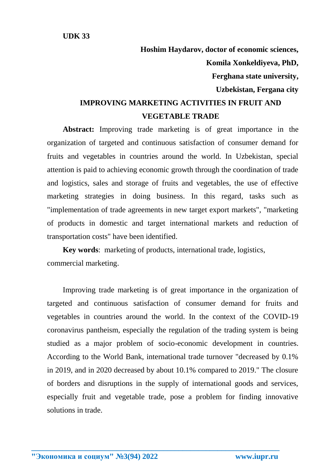**UDK 33**

**Hoshim Haydarov, doctor of economic sciences, Komila Xonkeldiyeva, PhD, Ferghana state university, Uzbekistan, Fergana city IMPROVING MARKETING ACTIVITIES IN FRUIT AND** 

## **VEGETABLE TRADE**

**Abstract:** Improving trade marketing is of great importance in the organization of targeted and continuous satisfaction of consumer demand for fruits and vegetables in countries around the world. In Uzbekistan, special attention is paid to achieving economic growth through the coordination of trade and logistics, sales and storage of fruits and vegetables, the use of effective marketing strategies in doing business. In this regard, tasks such as "implementation of trade agreements in new target export markets", "marketing of products in domestic and target international markets and reduction of transportation costs" have been identified.

**Key words**: marketing of products, international trade, logistics, commercial marketing.

Improving trade marketing is of great importance in the organization of targeted and continuous satisfaction of consumer demand for fruits and vegetables in countries around the world. In the context of the COVID-19 coronavirus pantheism, especially the regulation of the trading system is being studied as a major problem of socio-economic development in countries. According to the World Bank, international trade turnover "decreased by 0.1% in 2019, and in 2020 decreased by about 10.1% compared to 2019." The closure of borders and disruptions in the supply of international goods and services, especially fruit and vegetable trade, pose a problem for finding innovative solutions in trade.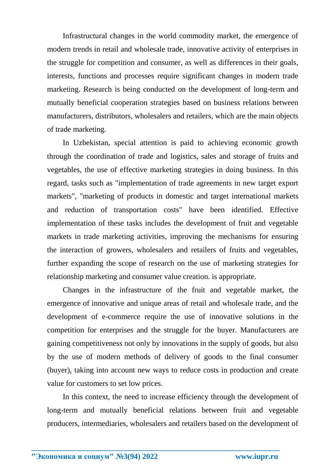Infrastructural changes in the world commodity market, the emergence of modern trends in retail and wholesale trade, innovative activity of enterprises in the struggle for competition and consumer, as well as differences in their goals, interests, functions and processes require significant changes in modern trade marketing. Research is being conducted on the development of long-term and mutually beneficial cooperation strategies based on business relations between manufacturers, distributors, wholesalers and retailers, which are the main objects of trade marketing.

In Uzbekistan, special attention is paid to achieving economic growth through the coordination of trade and logistics, sales and storage of fruits and vegetables, the use of effective marketing strategies in doing business. In this regard, tasks such as "implementation of trade agreements in new target export markets", "marketing of products in domestic and target international markets and reduction of transportation costs" have been identified. Effective implementation of these tasks includes the development of fruit and vegetable markets in trade marketing activities, improving the mechanisms for ensuring the interaction of growers, wholesalers and retailers of fruits and vegetables, further expanding the scope of research on the use of marketing strategies for relationship marketing and consumer value creation. is appropriate.

Changes in the infrastructure of the fruit and vegetable market, the emergence of innovative and unique areas of retail and wholesale trade, and the development of e-commerce require the use of innovative solutions in the competition for enterprises and the struggle for the buyer. Manufacturers are gaining competitiveness not only by innovations in the supply of goods, but also by the use of modern methods of delivery of goods to the final consumer (buyer), taking into account new ways to reduce costs in production and create value for customers to set low prices.

In this context, the need to increase efficiency through the development of long-term and mutually beneficial relations between fruit and vegetable producers, intermediaries, wholesalers and retailers based on the development of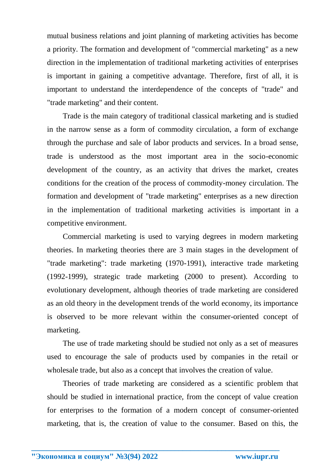mutual business relations and joint planning of marketing activities has become a priority. The formation and development of "commercial marketing" as a new direction in the implementation of traditional marketing activities of enterprises is important in gaining a competitive advantage. Therefore, first of all, it is important to understand the interdependence of the concepts of "trade" and "trade marketing" and their content.

Trade is the main category of traditional classical marketing and is studied in the narrow sense as a form of commodity circulation, a form of exchange through the purchase and sale of labor products and services. In a broad sense, trade is understood as the most important area in the socio-economic development of the country, as an activity that drives the market, creates conditions for the creation of the process of commodity-money circulation. The formation and development of "trade marketing" enterprises as a new direction in the implementation of traditional marketing activities is important in a competitive environment.

Commercial marketing is used to varying degrees in modern marketing theories. In marketing theories there are 3 main stages in the development of "trade marketing": trade marketing (1970-1991), interactive trade marketing (1992-1999), strategic trade marketing (2000 to present). According to evolutionary development, although theories of trade marketing are considered as an old theory in the development trends of the world economy, its importance is observed to be more relevant within the consumer-oriented concept of marketing.

The use of trade marketing should be studied not only as a set of measures used to encourage the sale of products used by companies in the retail or wholesale trade, but also as a concept that involves the creation of value.

Theories of trade marketing are considered as a scientific problem that should be studied in international practice, from the concept of value creation for enterprises to the formation of a modern concept of consumer-oriented marketing, that is, the creation of value to the consumer. Based on this, the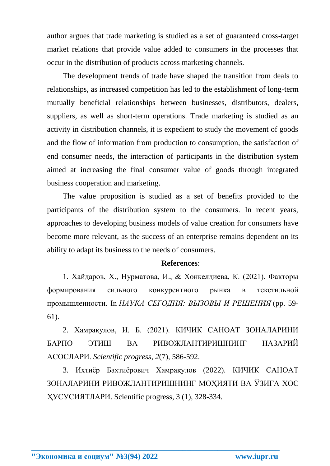author argues that trade marketing is studied as a set of guaranteed cross-target market relations that provide value added to consumers in the processes that occur in the distribution of products across marketing channels.

The development trends of trade have shaped the transition from deals to relationships, as increased competition has led to the establishment of long-term mutually beneficial relationships between businesses, distributors, dealers, suppliers, as well as short-term operations. Trade marketing is studied as an activity in distribution channels, it is expedient to study the movement of goods and the flow of information from production to consumption, the satisfaction of end consumer needs, the interaction of participants in the distribution system aimed at increasing the final consumer value of goods through integrated business cooperation and marketing.

The value proposition is studied as a set of benefits provided to the participants of the distribution system to the consumers. In recent years, approaches to developing business models of value creation for consumers have become more relevant, as the success of an enterprise remains dependent on its ability to adapt its business to the needs of consumers.

## **References**:

1. Хайдаров, Х., Нурматова, И., & Хонкелдиева, К. (2021). Факторы формирования сильного конкурентного рынка в текстильной промышленности. In *НАУКА СЕГОДНЯ: ВЫЗОВЫ И РЕШЕНИЯ* (pp. 59- 61).

2. Хамрақулов, И. Б. (2021). КИЧИК САНОАТ ЗОНАЛАРИНИ БАРПО ЭТИШ ВА РИВОЖЛАНТИРИШНИНГ НАЗАРИЙ АСОСЛАРИ. *Scientific progress*, *2*(7), 586-592.

3. Ихтиёр Бахтиёрович Хамрақулов (2022). КИЧИК САНОАТ ЗОНАЛАРИНИ РИВОЖЛАНТИРИШНИНГ МОҲИЯТИ ВА ЎЗИГА ХОС ҲУСУСИЯТЛАРИ. Scientific progress, 3 (1), 328-334.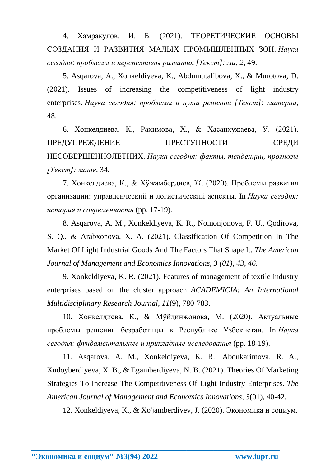4. Хамракулов, И. Б. (2021). ТЕОРЕТИЧЕСКИЕ ОСНОВЫ СОЗДАНИЯ И РАЗВИТИЯ МАЛЫХ ПРОМЫШЛЕННЫХ ЗОН. *Наука сегодня: проблемы и перспективы развития [Текст]: ма*, *2*, 49.

5. Asqarova, A., Xonkeldiyeva, K., Abdumutalibova, X., & Murotova, D. (2021). Issues of increasing the competitiveness of light industry enterprises. *Наука сегодня: проблемы и пути решения [Текст]: материа*, 48.

6. Хонкелдиева, К., Рахимова, Х., & Хасанхужаева, У. (2021). ПРЕДУПРЕЖДЕНИЕ ПРЕСТУПНОСТИ СРЕДИ НЕСОВЕРШЕННОЛЕТНИХ. *Наука сегодня: факты, тенденции, прогнозы [Текст]: мате*, 34.

7. Хонкелдиева, К., & Хўжамбердиев, Ж. (2020). Проблемы развития организации: управленческий и логистический аспекты. In *Наука сегодня: история и современность* (pp. 17-19).

8. Asqarova, A. M., Xonkeldiyeva, K. R., Nomonjonova, F. U., Qodirova, S. Q., & Arabxonova, X. A. (2021). Classification Of Competition In The Market Of Light Industrial Goods And The Factors That Shape It. *The American Journal of Management and Economics Innovations, 3 (01), 43*, *46*.

9. Xonkeldiyeva, K. R. (2021). Features of management of textile industry enterprises based on the cluster approach. *ACADEMICIA: An International Multidisciplinary Research Journal*, *11*(9), 780-783.

10. Хонкелдиева, К., & Мўйдинжонова, М. (2020). Актуальные проблемы решения безработицы в Республике Узбекистан. In *Наука сегодня: фундаментальные и прикладные исследования* (pp. 18-19).

11. Asqarova, A. M., Xonkeldiyeva, K. R., Abdukarimova, R. A., Xudoyberdiyeva, X. B., & Egamberdiyeva, N. B. (2021). Theories Of Marketing Strategies To Increase The Competitiveness Of Light Industry Enterprises. *The American Journal of Management and Economics Innovations*, *3*(01), 40-42.

**\_\_\_\_\_\_\_\_\_\_\_\_\_\_\_\_\_\_\_\_\_\_\_\_\_\_\_\_\_\_\_\_\_\_\_\_\_\_\_\_\_\_\_\_\_\_\_\_\_\_\_\_\_\_\_\_\_\_\_\_\_\_\_\_**

12. Xonkeldiyeva, K., & Xo'jamberdiyev, J. (2020). Экономика и социум.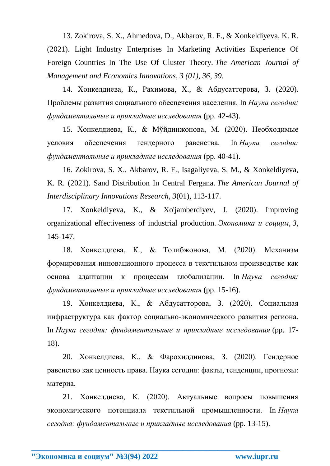13. Zokirova, S. Х., Ahmedova, D., Akbarov, R. F., & Xonkeldiyeva, K. R. (2021). Light Industry Enterprises In Marketing Activities Experience Of Foreign Countries In The Use Of Cluster Theory. *The American Journal of Management and Economics Innovations, 3 (01), 36*, *39*.

14. Хонкелдиева, К., Рахимова, Х., & Абдусатторова, З. (2020). Проблемы развития социального обеспечения населения. In *Наука сегодня: фундаментальные и прикладные исследования* (pp. 42-43).

15. Хонкелдиева, К., & Мўйдинжонова, М. (2020). Необходимые условия обеспечения гендерного равенства. In *Наука сегодня: фундаментальные и прикладные исследования* (pp. 40-41).

16. Zokirova, S. X., Akbarov, R. F., Isagaliyeva, S. M., & Xonkeldiyeva, K. R. (2021). Sand Distribution In Central Fergana. *The American Journal of Interdisciplinary Innovations Research*, *3*(01), 113-117.

17. Xonkeldiyeva, K., & Xo'jamberdiyev, J. (2020). Improving organizational effectiveness of industrial production. *Экономика и социум*, *3*, 145-147.

18. Хонкелдиева, К., & Толибжонова, М. (2020). Механизм формирования инновационного процесса в текстильном производстве как основа адаптации к процессам глобализации. In *Наука сегодня: фундаментальные и прикладные исследования* (pp. 15-16).

19. Хонкелдиева, К., & Абдусатторова, З. (2020). Социальная инфраструктура как фактор социально-экономического развития региона. In *Наука сегодня: фундаментальные и прикладные исследования* (pp. 17- 18).

20. Хонкелдиева, К., & Фарохиддинова, З. (2020). Гендерное равенство как ценность права. Наука сегодня: факты, тенденции, прогнозы: материа.

21. Хонкелдиева, К. (2020). Актуальные вопросы повышения экономического потенциала текстильной промышленности. In *Наука сегодня: фундаментальные и прикладные исследования* (pp. 13-15).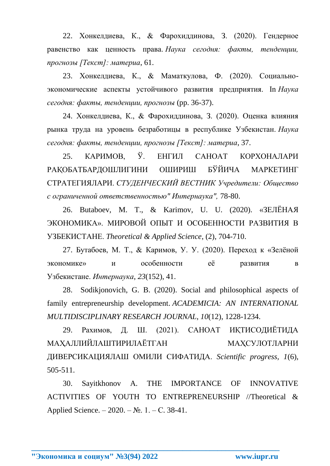22. Хонкелдиева, К., & Фарохиддинова, З. (2020). Гендерное равенство как ценность права. *Наука сегодня: факты, тенденции, прогнозы [Текст]: материа*, 61.

23. Хонкелдиева, К., & Маматкулова, Ф. (2020). Социальноэкономические аспекты устойчивого развития предприятия. In *Наука сегодня: факты, тенденции, прогнозы* (pp. 36-37).

24. Хонкелдиева, К., & Фарохиддинова, З. (2020). Оценка влияния рынка труда на уровень безработицы в республике Узбекистан. *Наука сегодня: факты, тенденции, прогнозы [Текст]: материа*, 37.

25. КАРИМОВ, Ў. ЕНГИЛ САНОАТ КОРХОНАЛАРИ РАҚОБАТБАРДОШЛИГИНИ ОШИРИШ БЎЙИЧА МАРКЕТИНГ СТРАТЕГИЯЛАРИ. *СТУДЕНЧЕСКИЙ ВЕСТНИК Учредители: Общество с ограниченной ответственностью" Интернаука",* 78-80.

26. Butaboev, M. T., & Karimov, U. U. (2020). «ЗЕЛЁНАЯ ЭКОНОМИКА». МИРОВОЙ ОПЫТ И ОСОБЕННОСТИ РАЗВИТИЯ В УЗБЕКИСТАНЕ. *Theoretical & Applied Science*, (2), 704-710.

27. Бутабоев, М. Т., & Каримов, У. У. (2020). Переход к «Зелёной экономике» и особенности её развития в Узбекистане. *Интернаука*, *23*(152), 41.

28. Sodikjonovich, G. B. (2020). Social and philosophical aspects of family entrepreneurship development. *ACADEMICIA: AN INTERNATIONAL MULTIDISCIPLINARY RESEARCH JOURNAL*, *10*(12), 1228-1234.

29. Рахимов, Д. Ш. (2021). САНОАТ ИҚТИСОДИЁТИДА МАХАЛЛИЙЛАШТИРИЛАЁТГАН МАХСУЛОТЛАРНИ ДИВЕРСИКАЦИЯЛАШ ОМИЛИ СИФАТИДА. *Scientific progress, 1*(6), 505-511.

30. Sayitkhonov A. THE IMPORTANCE OF INNOVATIVE ACTIVITIES OF YOUTH TO ENTREPRENEURSHIP //Theoretical & Applied Science. –  $2020. - N_2$ . 1. – C. 38-41.